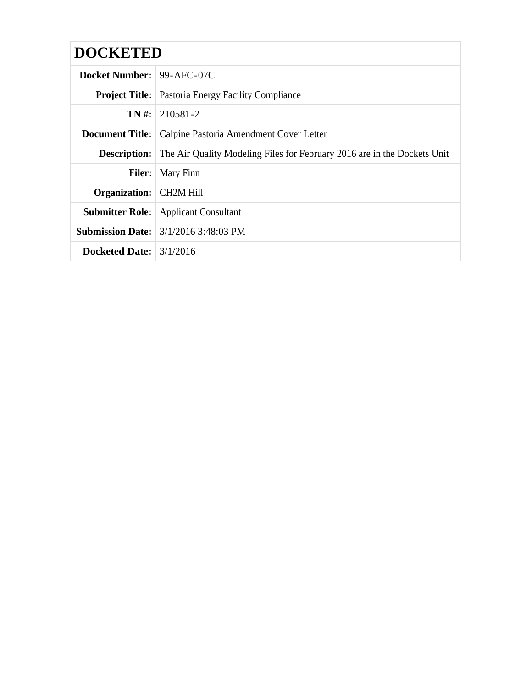| <b>DOCKETED</b>                  |                                                                                              |
|----------------------------------|----------------------------------------------------------------------------------------------|
| <b>Docket Number: 99-AFC-07C</b> |                                                                                              |
|                                  | <b>Project Title:</b> Pastoria Energy Facility Compliance                                    |
|                                  | $TN \#: 210581 - 2$                                                                          |
|                                  | <b>Document Title:</b>   Calpine Pastoria Amendment Cover Letter                             |
|                                  | <b>Description:</b> The Air Quality Modeling Files for February 2016 are in the Dockets Unit |
|                                  | <b>Filer:</b>   Mary Finn                                                                    |
| <b>Organization:</b> CH2M Hill   |                                                                                              |
|                                  | <b>Submitter Role:</b> Applicant Consultant                                                  |
|                                  | <b>Submission Date:</b> 3/1/2016 3:48:03 PM                                                  |
| Docketed Date: $\frac{3}{12016}$ |                                                                                              |